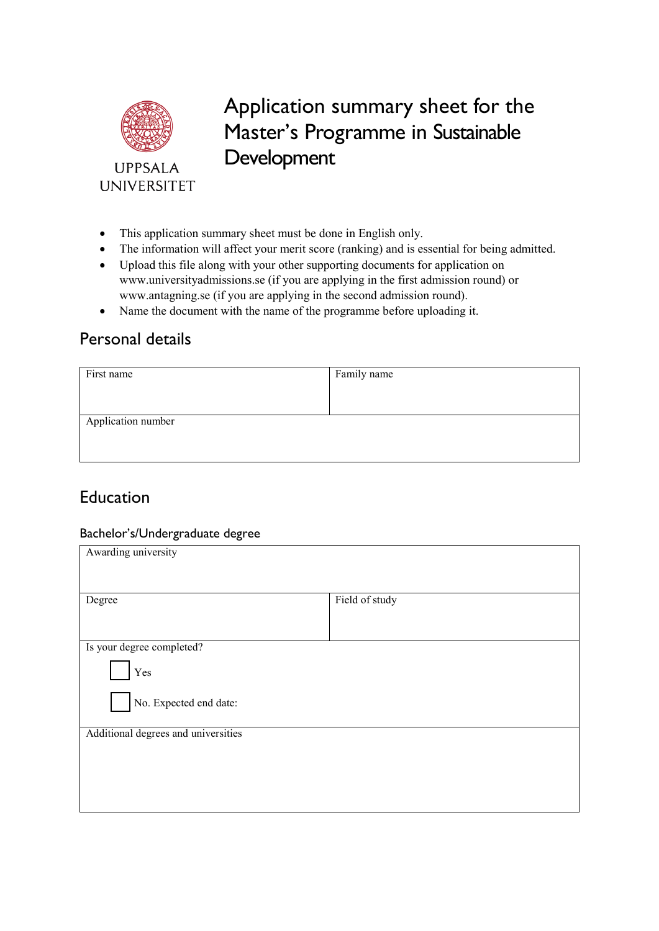

 Application summary sheet for the Master's Programme in Sustainable Development

- This application summary sheet must be done in English only.
- The information will affect your merit score (ranking) and is essential for being admitted.
- Upload this file along with your other supporting documents for application on <www.universityadmissions.se>(if you are applying in the first admission round) or <www.antagning.se>(if you are applying in the second admission round).
- Name the document with the name of the programme before uploading it.

## Personal details

| First name         | Family name |
|--------------------|-------------|
|                    |             |
|                    |             |
| Application number |             |
|                    |             |
|                    |             |

## Education

#### Bachelor's/Undergraduate degree

| Awarding university                 |                |  |
|-------------------------------------|----------------|--|
|                                     |                |  |
| Degree                              | Field of study |  |
|                                     |                |  |
| Is your degree completed?<br>Yes    |                |  |
| No. Expected end date:              |                |  |
| Additional degrees and universities |                |  |
|                                     |                |  |
|                                     |                |  |
|                                     |                |  |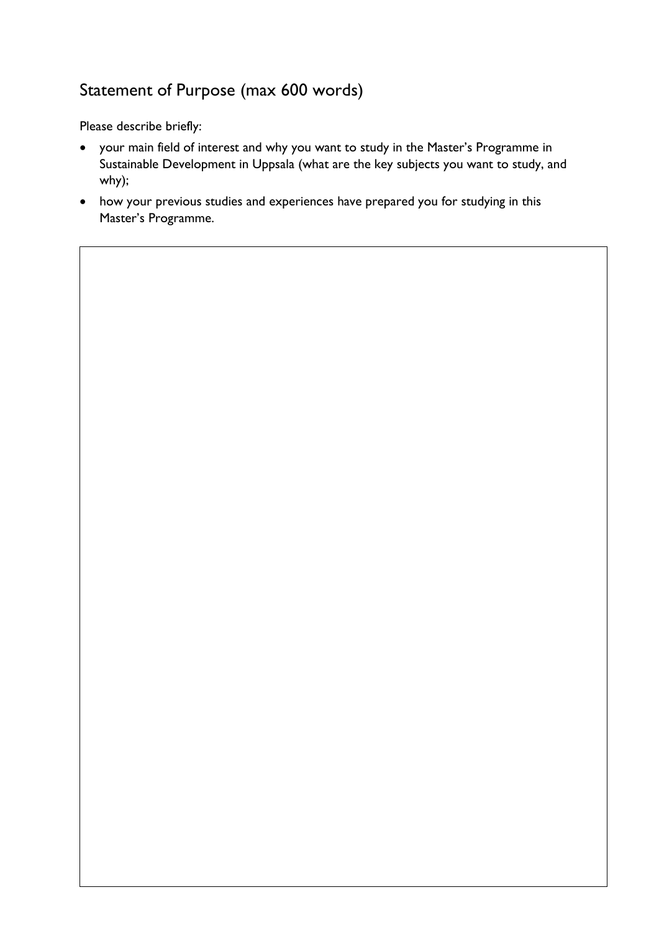# Statement of Purpose (max 600 words)

Please describe briefly:

- your main field of interest and why you want to study in the Master's Programme in Sustainable Development in Uppsala (what are the key subjects you want to study, and why);
- how your previous studies and experiences have prepared you for studying in this Master's Programme.